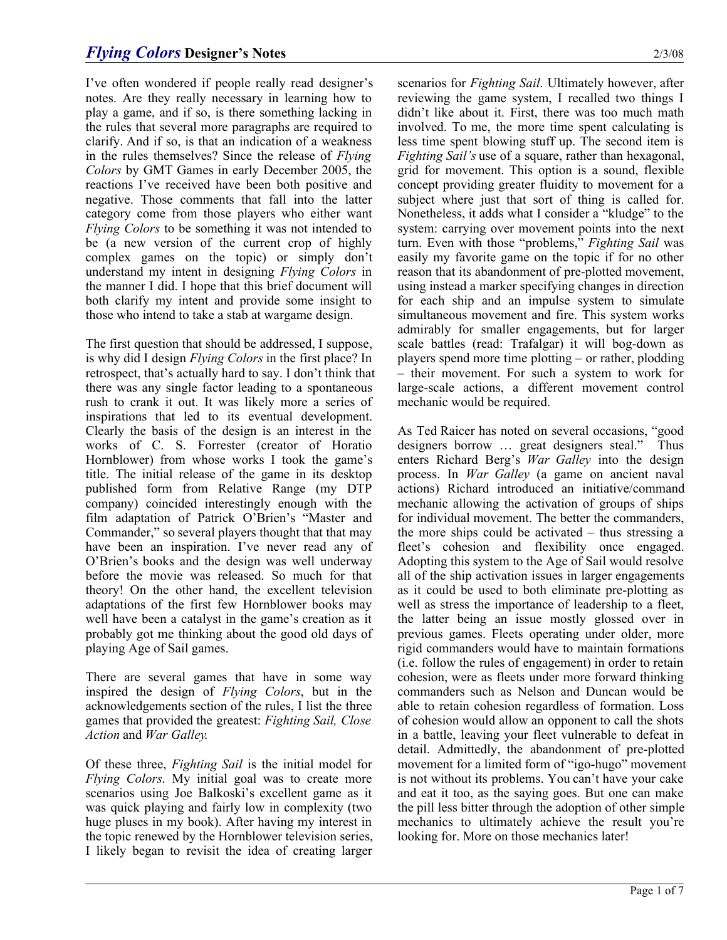I've often wondered if people really read designer's notes. Are they really necessary in learning how to play a game, and if so, is there something lacking in the rules that several more paragraphs are required to clarify. And if so, is that an indication of a weakness in the rules themselves? Since the release of *Flying Colors* by GMT Games in early December 2005, the reactions I've received have been both positive and negative. Those comments that fall into the latter category come from those players who either want *Flying Colors* to be something it was not intended to be (a new version of the current crop of highly complex games on the topic) or simply don't understand my intent in designing *Flying Colors* in the manner I did. I hope that this brief document will both clarify my intent and provide some insight to those who intend to take a stab at wargame design.

The first question that should be addressed, I suppose, is why did I design *Flying Colors* in the first place? In retrospect, that's actually hard to say. I don't think that there was any single factor leading to a spontaneous rush to crank it out. It was likely more a series of inspirations that led to its eventual development. Clearly the basis of the design is an interest in the works of C. S. Forrester (creator of Horatio Hornblower) from whose works I took the game's title. The initial release of the game in its desktop published form from Relative Range (my DTP company) coincided interestingly enough with the film adaptation of Patrick O'Brien's "Master and Commander," so several players thought that that may have been an inspiration. I've never read any of O'Brien's books and the design was well underway before the movie was released. So much for that theory! On the other hand, the excellent television adaptations of the first few Hornblower books may well have been a catalyst in the game's creation as it probably got me thinking about the good old days of playing Age of Sail games.

There are several games that have in some way inspired the design of *Flying Colors*, but in the acknowledgements section of the rules, I list the three games that provided the greatest: *Fighting Sail, Close Action* and *War Galley*.

Of these three, *Fighting Sail* is the initial model for *Flying Colors*. My initial goal was to create more scenarios using Joe Balkoski's excellent game as it was quick playing and fairly low in complexity (two huge pluses in my book). After having my interest in the topic renewed by the Hornblower television series, I likely began to revisit the idea of creating larger scenarios for *Fighting Sail*. Ultimately however, after reviewing the game system, I recalled two things I didn't like about it. First, there was too much math involved. To me, the more time spent calculating is less time spent blowing stuff up. The second item is *Fighting Sail's* use of a square, rather than hexagonal, grid for movement. This option is a sound, flexible concept providing greater fluidity to movement for a subject where just that sort of thing is called for. Nonetheless, it adds what I consider a "kludge" to the system: carrying over movement points into the next turn. Even with those "problems," *Fighting Sail* was easily my favorite game on the topic if for no other reason that its abandonment of pre-plotted movement, using instead a marker specifying changes in direction for each ship and an impulse system to simulate simultaneous movement and fire. This system works admirably for smaller engagements, but for larger scale battles (read: Trafalgar) it will bog-down as players spend more time plotting – or rather, plodding – their movement. For such a system to work for large-scale actions, a different movement control mechanic would be required.

As Ted Raicer has noted on several occasions, "good designers borrow … great designers steal." Thus enters Richard Berg's *War Galley* into the design process. In *War Galley* (a game on ancient naval actions) Richard introduced an initiative/command mechanic allowing the activation of groups of ships for individual movement. The better the commanders, the more ships could be activated – thus stressing a fleet's cohesion and flexibility once engaged. Adopting this system to the Age of Sail would resolve all of the ship activation issues in larger engagements as it could be used to both eliminate pre-plotting as well as stress the importance of leadership to a fleet, the latter being an issue mostly glossed over in previous games. Fleets operating under older, more rigid commanders would have to maintain formations (i.e. follow the rules of engagement) in order to retain cohesion, were as fleets under more forward thinking commanders such as Nelson and Duncan would be able to retain cohesion regardless of formation. Loss of cohesion would allow an opponent to call the shots in a battle, leaving your fleet vulnerable to defeat in detail. Admittedly, the abandonment of pre-plotted movement for a limited form of "igo-hugo" movement is not without its problems. You can't have your cake and eat it too, as the saying goes. But one can make the pill less bitter through the adoption of other simple mechanics to ultimately achieve the result you're looking for. More on those mechanics later!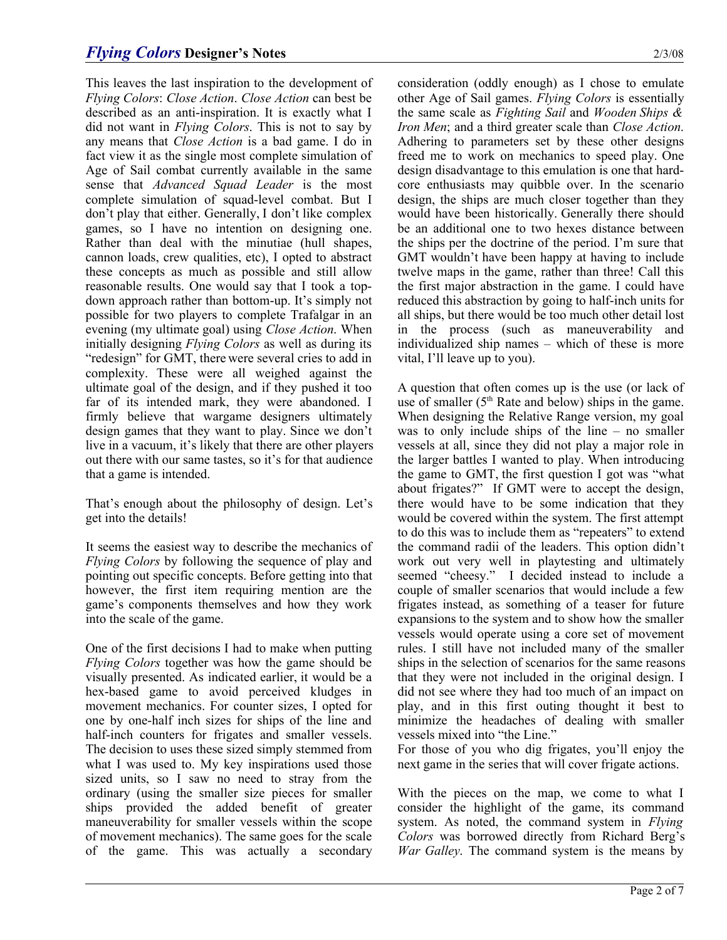## *Flying Colors* **Designer's Notes** 2/3/08

This leaves the last inspiration to the development of *Flying Colors*: *Close Action*. *Close Action* can best be described as an anti-inspiration. It is exactly what I did not want in *Flying Colors*. This is not to say by any means that *Close Action* is a bad game. I do in fact view it as the single most complete simulation of Age of Sail combat currently available in the same sense that *Advanced Squad Leader* is the most complete simulation of squad-level combat. But I don't play that either. Generally, I don't like complex games, so I have no intention on designing one. Rather than deal with the minutiae (hull shapes, cannon loads, crew qualities, etc), I opted to abstract these concepts as much as possible and still allow reasonable results. One would say that I took a topdown approach rather than bottom-up. It's simply not possible for two players to complete Trafalgar in an evening (my ultimate goal) using *Close Action*. When initially designing *Flying Colors* as well as during its "redesign" for GMT, there were several cries to add in complexity. These were all weighed against the ultimate goal of the design, and if they pushed it too far of its intended mark, they were abandoned. I firmly believe that wargame designers ultimately design games that they want to play. Since we don't live in a vacuum, it's likely that there are other players out there with our same tastes, so it's for that audience that a game is intended.

That's enough about the philosophy of design. Let's get into the details!

It seems the easiest way to describe the mechanics of *Flying Colors* by following the sequence of play and pointing out specific concepts. Before getting into that however, the first item requiring mention are the game's components themselves and how they work into the scale of the game.

One of the first decisions I had to make when putting *Flying Colors* together was how the game should be visually presented. As indicated earlier, it would be a hex-based game to avoid perceived kludges in movement mechanics. For counter sizes, I opted for one by one-half inch sizes for ships of the line and half-inch counters for frigates and smaller vessels. The decision to uses these sized simply stemmed from what I was used to. My key inspirations used those sized units, so I saw no need to stray from the ordinary (using the smaller size pieces for smaller ships provided the added benefit of greater maneuverability for smaller vessels within the scope of movement mechanics). The same goes for the scale of the game. This was actually a secondary consideration (oddly enough) as I chose to emulate other Age of Sail games. *Flying Colors* is essentially the same scale as *Fighting Sail* and *Wooden Ships & Iron Men*; and a third greater scale than *Close Action*. Adhering to parameters set by these other designs freed me to work on mechanics to speed play. One design disadvantage to this emulation is one that hardcore enthusiasts may quibble over. In the scenario design, the ships are much closer together than they would have been historically. Generally there should be an additional one to two hexes distance between the ships per the doctrine of the period. I'm sure that GMT wouldn't have been happy at having to include twelve maps in the game, rather than three! Call this the first major abstraction in the game. I could have reduced this abstraction by going to half-inch units for all ships, but there would be too much other detail lost in the process (such as maneuverability and individualized ship names – which of these is more vital, I'll leave up to you).

A question that often comes up is the use (or lack of use of smaller  $(5<sup>th</sup>$  Rate and below) ships in the game. When designing the Relative Range version, my goal was to only include ships of the line – no smaller vessels at all, since they did not play a major role in the larger battles I wanted to play. When introducing the game to GMT, the first question I got was "what about frigates?" If GMT were to accept the design, there would have to be some indication that they would be covered within the system. The first attempt to do this was to include them as "repeaters" to extend the command radii of the leaders. This option didn't work out very well in playtesting and ultimately seemed "cheesy." I decided instead to include a couple of smaller scenarios that would include a few frigates instead, as something of a teaser for future expansions to the system and to show how the smaller vessels would operate using a core set of movement rules. I still have not included many of the smaller ships in the selection of scenarios for the same reasons that they were not included in the original design. I did not see where they had too much of an impact on play, and in this first outing thought it best to minimize the headaches of dealing with smaller vessels mixed into "the Line."

For those of you who dig frigates, you'll enjoy the next game in the series that will cover frigate actions.

With the pieces on the map, we come to what I consider the highlight of the game, its command system. As noted, the command system in *Flying Colors* was borrowed directly from Richard Berg's *War Galley*. The command system is the means by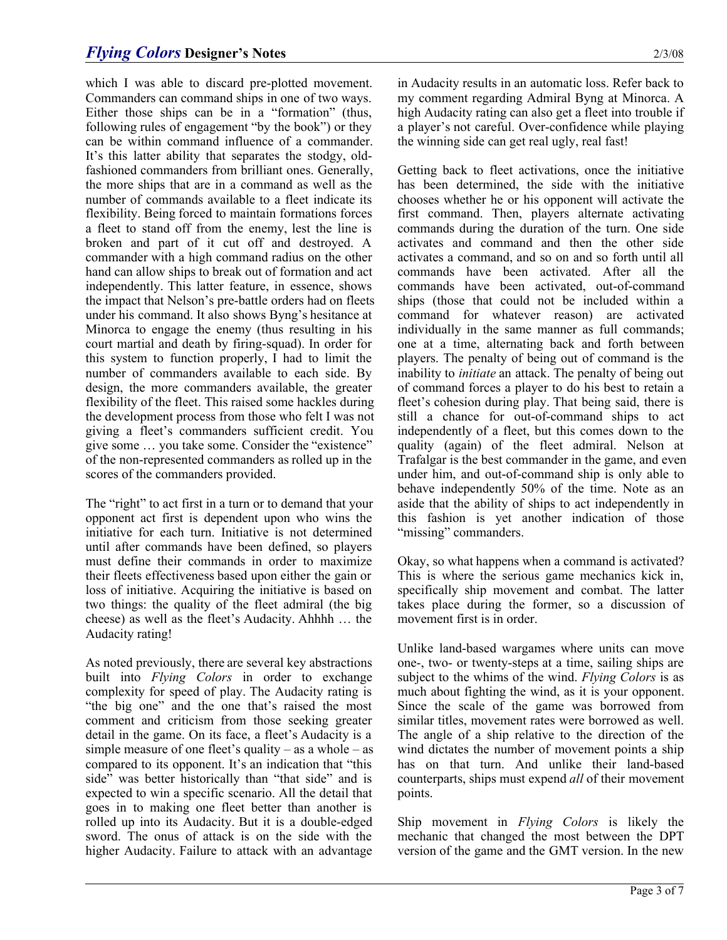which I was able to discard pre-plotted movement. Commanders can command ships in one of two ways. Either those ships can be in a "formation" (thus, following rules of engagement "by the book") or they can be within command influence of a commander. It's this latter ability that separates the stodgy, oldfashioned commanders from brilliant ones. Generally, the more ships that are in a command as well as the number of commands available to a fleet indicate its flexibility. Being forced to maintain formations forces a fleet to stand off from the enemy, lest the line is broken and part of it cut off and destroyed. A commander with a high command radius on the other hand can allow ships to break out of formation and act independently. This latter feature, in essence, shows the impact that Nelson's pre-battle orders had on fleets under his command. It also shows Byng's hesitance at Minorca to engage the enemy (thus resulting in his court martial and death by firing-squad). In order for this system to function properly, I had to limit the number of commanders available to each side. By design, the more commanders available, the greater flexibility of the fleet. This raised some hackles during the development process from those who felt I was not giving a fleet's commanders sufficient credit. You give some … you take some. Consider the "existence" of the non-represented commanders as rolled up in the scores of the commanders provided.

The "right" to act first in a turn or to demand that your opponent act first is dependent upon who wins the initiative for each turn. Initiative is not determined until after commands have been defined, so players must define their commands in order to maximize their fleets effectiveness based upon either the gain or loss of initiative. Acquiring the initiative is based on two things: the quality of the fleet admiral (the big cheese) as well as the fleet's Audacity. Ahhhh … the Audacity rating!

As noted previously, there are several key abstractions built into *Flying Colors* in order to exchange complexity for speed of play. The Audacity rating is "the big one" and the one that's raised the most comment and criticism from those seeking greater detail in the game. On its face, a fleet's Audacity is a simple measure of one fleet's quality – as a whole – as compared to its opponent. It's an indication that "this side" was better historically than "that side" and is expected to win a specific scenario. All the detail that goes in to making one fleet better than another is rolled up into its Audacity. But it is a double-edged sword. The onus of attack is on the side with the higher Audacity. Failure to attack with an advantage

in Audacity results in an automatic loss. Refer back to my comment regarding Admiral Byng at Minorca. A high Audacity rating can also get a fleet into trouble if a player's not careful. Over-confidence while playing the winning side can get real ugly, real fast!

Getting back to fleet activations, once the initiative has been determined, the side with the initiative chooses whether he or his opponent will activate the first command. Then, players alternate activating commands during the duration of the turn. One side activates and command and then the other side activates a command, and so on and so forth until all commands have been activated. After all the commands have been activated, out-of-command ships (those that could not be included within a command for whatever reason) are activated individually in the same manner as full commands; one at a time, alternating back and forth between players. The penalty of being out of command is the inability to *initiate* an attack. The penalty of being out of command forces a player to do his best to retain a fleet's cohesion during play. That being said, there is still a chance for out-of-command ships to act independently of a fleet, but this comes down to the quality (again) of the fleet admiral. Nelson at Trafalgar is the best commander in the game, and even under him, and out-of-command ship is only able to behave independently 50% of the time. Note as an aside that the ability of ships to act independently in this fashion is yet another indication of those "missing" commanders.

Okay, so what happens when a command is activated? This is where the serious game mechanics kick in, specifically ship movement and combat. The latter takes place during the former, so a discussion of movement first is in order.

Unlike land-based wargames where units can move one-, two- or twenty-steps at a time, sailing ships are subject to the whims of the wind. *Flying Colors* is as much about fighting the wind, as it is your opponent. Since the scale of the game was borrowed from similar titles, movement rates were borrowed as well. The angle of a ship relative to the direction of the wind dictates the number of movement points a ship has on that turn. And unlike their land-based counterparts, ships must expend *all* of their movement points.

Ship movement in *Flying Colors* is likely the mechanic that changed the most between the DPT version of the game and the GMT version. In the new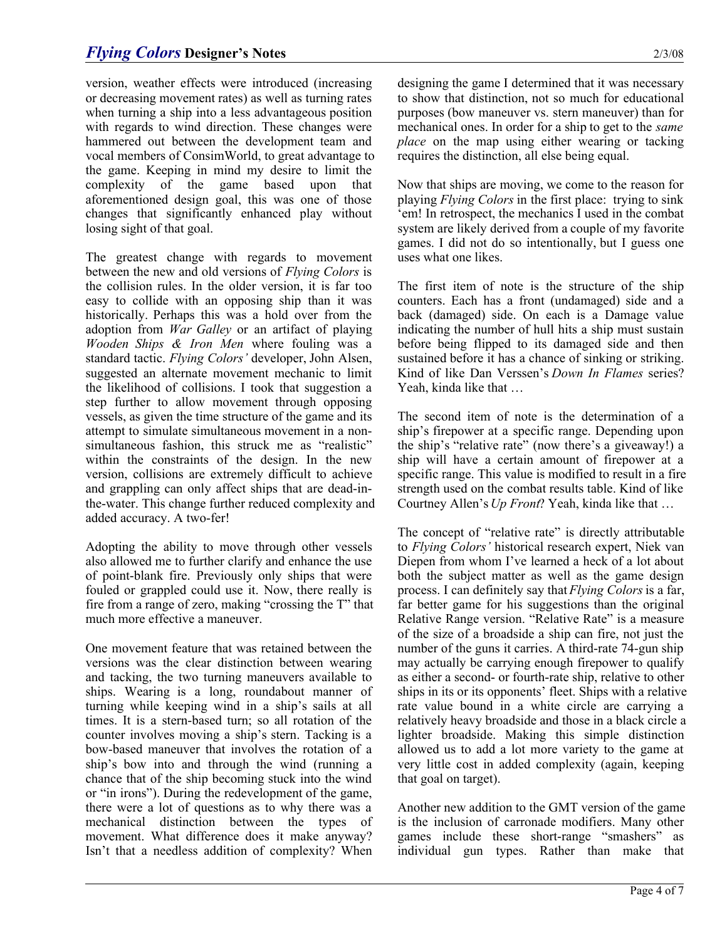## *Flying Colors* **Designer's Notes** 2/3/08

version, weather effects were introduced (increasing or decreasing movement rates) as well as turning rates when turning a ship into a less advantageous position with regards to wind direction. These changes were hammered out between the development team and vocal members of ConsimWorld, to great advantage to the game. Keeping in mind my desire to limit the complexity of the game based upon that aforementioned design goal, this was one of those changes that significantly enhanced play without losing sight of that goal.

The greatest change with regards to movement between the new and old versions of *Flying Colors* is the collision rules. In the older version, it is far too easy to collide with an opposing ship than it was historically. Perhaps this was a hold over from the adoption from *War Galley* or an artifact of playing *Wooden Ships & Iron Men* where fouling was a standard tactic. *Flying Colors'* developer, John Alsen, suggested an alternate movement mechanic to limit the likelihood of collisions. I took that suggestion a step further to allow movement through opposing vessels, as given the time structure of the game and its attempt to simulate simultaneous movement in a nonsimultaneous fashion, this struck me as "realistic" within the constraints of the design. In the new version, collisions are extremely difficult to achieve and grappling can only affect ships that are dead-inthe-water. This change further reduced complexity and added accuracy. A two-fer!

Adopting the ability to move through other vessels also allowed me to further clarify and enhance the use of point-blank fire. Previously only ships that were fouled or grappled could use it. Now, there really is fire from a range of zero, making "crossing the T" that much more effective a maneuver.

One movement feature that was retained between the versions was the clear distinction between wearing and tacking, the two turning maneuvers available to ships. Wearing is a long, roundabout manner of turning while keeping wind in a ship's sails at all times. It is a stern-based turn; so all rotation of the counter involves moving a ship's stern. Tacking is a bow-based maneuver that involves the rotation of a ship's bow into and through the wind (running a chance that of the ship becoming stuck into the wind or "in irons"). During the redevelopment of the game, there were a lot of questions as to why there was a mechanical distinction between the types of movement. What difference does it make anyway? Isn't that a needless addition of complexity? When designing the game I determined that it was necessary to show that distinction, not so much for educational purposes (bow maneuver vs. stern maneuver) than for mechanical ones. In order for a ship to get to the *same place* on the map using either wearing or tacking requires the distinction, all else being equal.

Now that ships are moving, we come to the reason for playing *Flying Colors* in the first place: trying to sink 'em! In retrospect, the mechanics I used in the combat system are likely derived from a couple of my favorite games. I did not do so intentionally, but I guess one uses what one likes.

The first item of note is the structure of the ship counters. Each has a front (undamaged) side and a back (damaged) side. On each is a Damage value indicating the number of hull hits a ship must sustain before being flipped to its damaged side and then sustained before it has a chance of sinking or striking. Kind of like Dan Verssen's *Down In Flames* series? Yeah, kinda like that …

The second item of note is the determination of a ship's firepower at a specific range. Depending upon the ship's "relative rate" (now there's a giveaway!) a ship will have a certain amount of firepower at a specific range. This value is modified to result in a fire strength used on the combat results table. Kind of like Courtney Allen's *Up Front*? Yeah, kinda like that …

The concept of "relative rate" is directly attributable to *Flying Colors'* historical research expert, Niek van Diepen from whom I've learned a heck of a lot about both the subject matter as well as the game design process. I can definitely say that *Flying Colors* is a far, far better game for his suggestions than the original Relative Range version. "Relative Rate" is a measure of the size of a broadside a ship can fire, not just the number of the guns it carries. A third-rate 74-gun ship may actually be carrying enough firepower to qualify as either a second- or fourth-rate ship, relative to other ships in its or its opponents' fleet. Ships with a relative rate value bound in a white circle are carrying a relatively heavy broadside and those in a black circle a lighter broadside. Making this simple distinction allowed us to add a lot more variety to the game at very little cost in added complexity (again, keeping that goal on target).

Another new addition to the GMT version of the game is the inclusion of carronade modifiers. Many other games include these short-range "smashers" as individual gun types. Rather than make that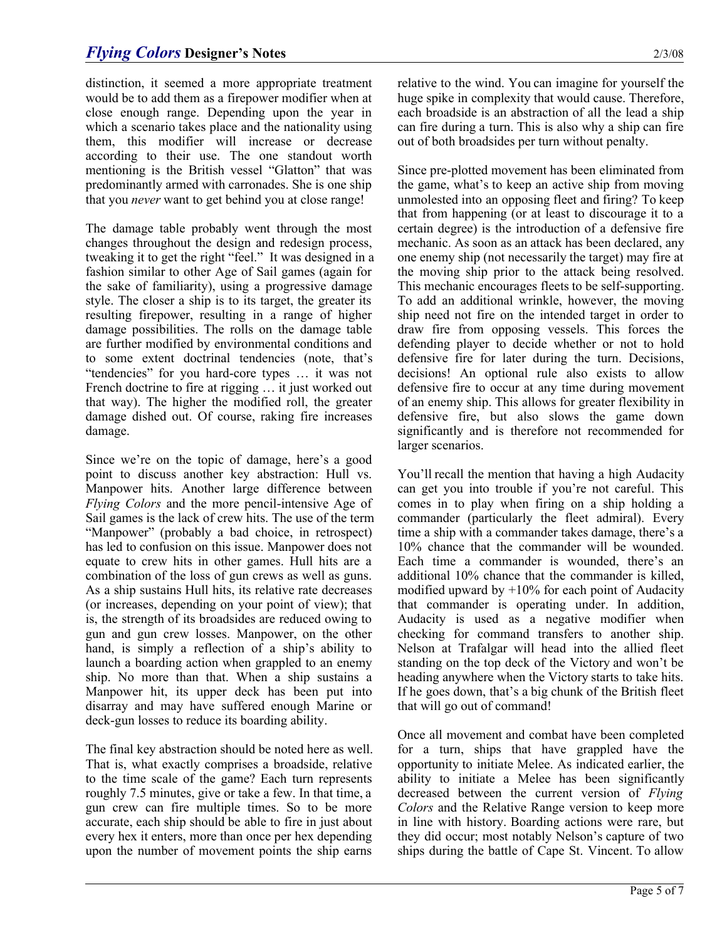distinction, it seemed a more appropriate treatment would be to add them as a firepower modifier when at close enough range. Depending upon the year in which a scenario takes place and the nationality using them, this modifier will increase or decrease according to their use. The one standout worth mentioning is the British vessel "Glatton" that was predominantly armed with carronades. She is one ship that you *never* want to get behind you at close range!

The damage table probably went through the most changes throughout the design and redesign process, tweaking it to get the right "feel." It was designed in a fashion similar to other Age of Sail games (again for the sake of familiarity), using a progressive damage style. The closer a ship is to its target, the greater its resulting firepower, resulting in a range of higher damage possibilities. The rolls on the damage table are further modified by environmental conditions and to some extent doctrinal tendencies (note, that's "tendencies" for you hard-core types … it was not French doctrine to fire at rigging … it just worked out that way). The higher the modified roll, the greater damage dished out. Of course, raking fire increases damage.

Since we're on the topic of damage, here's a good point to discuss another key abstraction: Hull vs. Manpower hits. Another large difference between *Flying Colors* and the more pencil-intensive Age of Sail games is the lack of crew hits. The use of the term "Manpower" (probably a bad choice, in retrospect) has led to confusion on this issue. Manpower does not equate to crew hits in other games. Hull hits are a combination of the loss of gun crews as well as guns. As a ship sustains Hull hits, its relative rate decreases (or increases, depending on your point of view); that is, the strength of its broadsides are reduced owing to gun and gun crew losses. Manpower, on the other hand, is simply a reflection of a ship's ability to launch a boarding action when grappled to an enemy ship. No more than that. When a ship sustains a Manpower hit, its upper deck has been put into disarray and may have suffered enough Marine or deck-gun losses to reduce its boarding ability.

The final key abstraction should be noted here as well. That is, what exactly comprises a broadside, relative to the time scale of the game? Each turn represents roughly 7.5 minutes, give or take a few. In that time, a gun crew can fire multiple times. So to be more accurate, each ship should be able to fire in just about every hex it enters, more than once per hex depending upon the number of movement points the ship earns relative to the wind. You can imagine for yourself the huge spike in complexity that would cause. Therefore, each broadside is an abstraction of all the lead a ship can fire during a turn. This is also why a ship can fire out of both broadsides per turn without penalty.

Since pre-plotted movement has been eliminated from the game, what's to keep an active ship from moving unmolested into an opposing fleet and firing? To keep that from happening (or at least to discourage it to a certain degree) is the introduction of a defensive fire mechanic. As soon as an attack has been declared, any one enemy ship (not necessarily the target) may fire at the moving ship prior to the attack being resolved. This mechanic encourages fleets to be self-supporting. To add an additional wrinkle, however, the moving ship need not fire on the intended target in order to draw fire from opposing vessels. This forces the defending player to decide whether or not to hold defensive fire for later during the turn. Decisions, decisions! An optional rule also exists to allow defensive fire to occur at any time during movement of an enemy ship. This allows for greater flexibility in defensive fire, but also slows the game down significantly and is therefore not recommended for larger scenarios.

You'll recall the mention that having a high Audacity can get you into trouble if you're not careful. This comes in to play when firing on a ship holding a commander (particularly the fleet admiral). Every time a ship with a commander takes damage, there's a 10% chance that the commander will be wounded. Each time a commander is wounded, there's an additional 10% chance that the commander is killed, modified upward by  $+10\%$  for each point of Audacity that commander is operating under. In addition, Audacity is used as a negative modifier when checking for command transfers to another ship. Nelson at Trafalgar will head into the allied fleet standing on the top deck of the Victory and won't be heading anywhere when the Victory starts to take hits. If he goes down, that's a big chunk of the British fleet that will go out of command!

Once all movement and combat have been completed for a turn, ships that have grappled have the opportunity to initiate Melee. As indicated earlier, the ability to initiate a Melee has been significantly decreased between the current version of *Flying Colors* and the Relative Range version to keep more in line with history. Boarding actions were rare, but they did occur; most notably Nelson's capture of two ships during the battle of Cape St. Vincent. To allow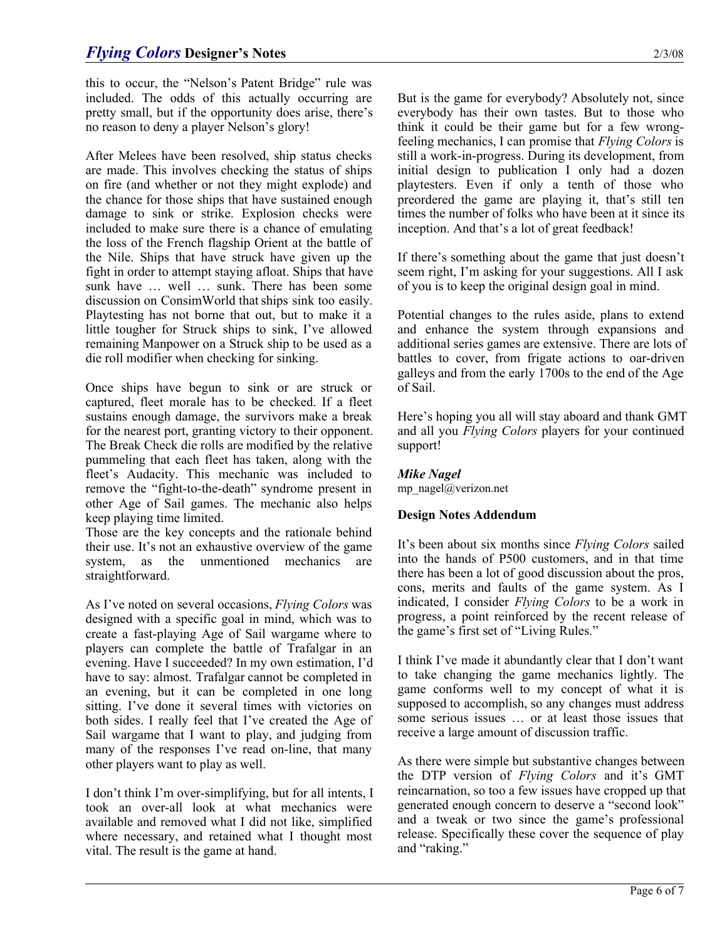this to occur, the "Nelson's Patent Bridge" rule was included. The odds of this actually occurring are pretty small, but if the opportunity does arise, there's no reason to deny a player Nelson's glory!

After Melees have been resolved, ship status checks are made. This involves checking the status of ships on fire (and whether or not they might explode) and the chance for those ships that have sustained enough damage to sink or strike. Explosion checks were included to make sure there is a chance of emulating the loss of the French flagship Orient at the battle of the Nile. Ships that have struck have given up the fight in order to attempt staying afloat. Ships that have sunk have … well … sunk. There has been some discussion on ConsimWorld that ships sink too easily. Playtesting has not borne that out, but to make it a little tougher for Struck ships to sink, I've allowed remaining Manpower on a Struck ship to be used as a die roll modifier when checking for sinking.

Once ships have begun to sink or are struck or captured, fleet morale has to be checked. If a fleet sustains enough damage, the survivors make a break for the nearest port, granting victory to their opponent. The Break Check die rolls are modified by the relative pummeling that each fleet has taken, along with the fleet's Audacity. This mechanic was included to remove the "fight-to-the-death" syndrome present in other Age of Sail games. The mechanic also helps keep playing time limited.

Those are the key concepts and the rationale behind their use. It's not an exhaustive overview of the game system, as the unmentioned mechanics are straightforward.

As I've noted on several occasions, *Flying Colors* was designed with a specific goal in mind, which was to create a fast-playing Age of Sail wargame where to players can complete the battle of Trafalgar in an evening. Have I succeeded? In my own estimation, I'd have to say: almost. Trafalgar cannot be completed in an evening, but it can be completed in one long sitting. I've done it several times with victories on both sides. I really feel that I've created the Age of Sail wargame that I want to play, and judging from many of the responses I've read on-line, that many other players want to play as well.

I don't think I'm over-simplifying, but for all intents, I took an over-all look at what mechanics were available and removed what I did not like, simplified where necessary, and retained what I thought most vital. The result is the game at hand.

But is the game for everybody? Absolutely not, since everybody has their own tastes. But to those who think it could be their game but for a few wrongfeeling mechanics, I can promise that *Flying Colors* is still a work-in-progress. During its development, from initial design to publication I only had a dozen playtesters. Even if only a tenth of those who preordered the game are playing it, that's still ten times the number of folks who have been at it since its inception. And that's a lot of great feedback!

If there's something about the game that just doesn't seem right, I'm asking for your suggestions. All I ask of you is to keep the original design goal in mind.

Potential changes to the rules aside, plans to extend and enhance the system through expansions and additional series games are extensive. There are lots of battles to cover, from frigate actions to oar-driven galleys and from the early 1700s to the end of the Age of Sail.

Here's hoping you all will stay aboard and thank GMT and all you *Flying Colors* players for your continued support!

# *Mike Nagel*

mp\_nagel@verizon.net

#### **Design Notes Addendum**

It's been about six months since *Flying Colors* sailed into the hands of P500 customers, and in that time there has been a lot of good discussion about the pros, cons, merits and faults of the game system. As I indicated, I consider *Flying Colors* to be a work in progress, a point reinforced by the recent release of the game's first set of "Living Rules."

I think I've made it abundantly clear that I don't want to take changing the game mechanics lightly. The game conforms well to my concept of what it is supposed to accomplish, so any changes must address some serious issues … or at least those issues that receive a large amount of discussion traffic.

As there were simple but substantive changes between the DTP version of *Flying Colors* and it's GMT reincarnation, so too a few issues have cropped up that generated enough concern to deserve a "second look" and a tweak or two since the game's professional release. Specifically these cover the sequence of play and "raking."